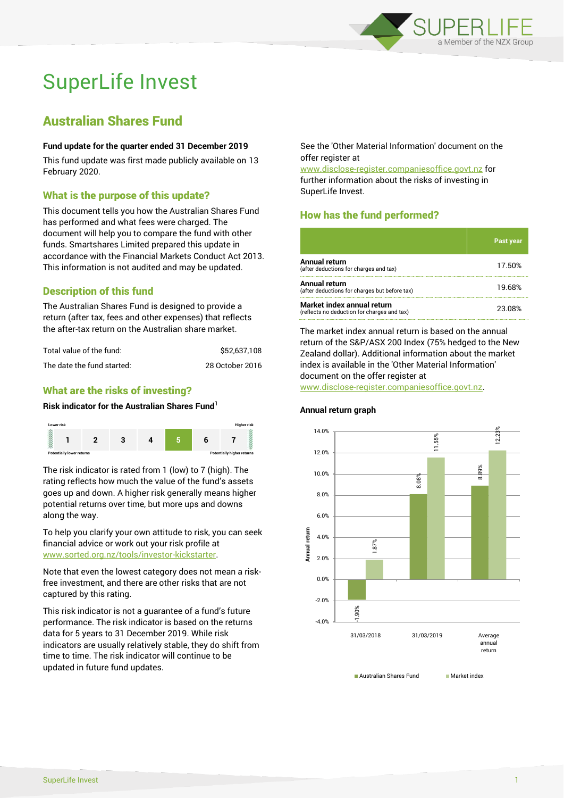

# SuperLife Invest

## Australian Shares Fund

#### **Fund update for the quarter ended 31 December 2019**

This fund update was first made publicly available on 13 February 2020.

#### What is the purpose of this update?

This document tells you how the Australian Shares Fund has performed and what fees were charged. The document will help you to compare the fund with other funds. Smartshares Limited prepared this update in accordance with the Financial Markets Conduct Act 2013. This information is not audited and may be updated.

### Description of this fund

The Australian Shares Fund is designed to provide a return (after tax, fees and other expenses) that reflects the after-tax return on the Australian share market.

| Total value of the fund:   | \$52.637.108    |
|----------------------------|-----------------|
| The date the fund started: | 28 October 2016 |

### What are the risks of investing?

#### **Risk indicator for the Australian Shares Fund<sup>1</sup>**



The risk indicator is rated from 1 (low) to 7 (high). The rating reflects how much the value of the fund's assets goes up and down. A higher risk generally means higher potential returns over time, but more ups and downs along the way.

To help you clarify your own attitude to risk, you can seek financial advice or work out your risk profile at [www.sorted.org.nz/tools/investor-kickstarter.](http://www.sorted.org.nz/tools/investor-kickstarter)

Note that even the lowest category does not mean a riskfree investment, and there are other risks that are not captured by this rating.

This risk indicator is not a guarantee of a fund's future performance. The risk indicator is based on the returns data for 5 years to 31 December 2019. While risk indicators are usually relatively stable, they do shift from time to time. The risk indicator will continue to be updated in future fund updates.

See the 'Other Material Information' document on the offer register at

www.disclose-register.companiesoffice.govt.nz for further information about the risks of investing in SuperLife Invest.

### How has the fund performed?

|                                                                           | <b>Past year</b> |
|---------------------------------------------------------------------------|------------------|
| <b>Annual return</b><br>(after deductions for charges and tax)            | 17.50%           |
| <b>Annual return</b><br>(after deductions for charges but before tax)     | 19.68%           |
| Market index annual return<br>(reflects no deduction for charges and tax) | 23.08%           |

The market index annual return is based on the annual return of the S&P/ASX 200 Index (75% hedged to the New Zealand dollar). Additional information about the market index is available in the 'Other Material Information' document on the offer register at

www.disclose-register.companiesoffice.govt.nz.



**Australian Shares Fund Market index** 

#### SuperLife Invest 1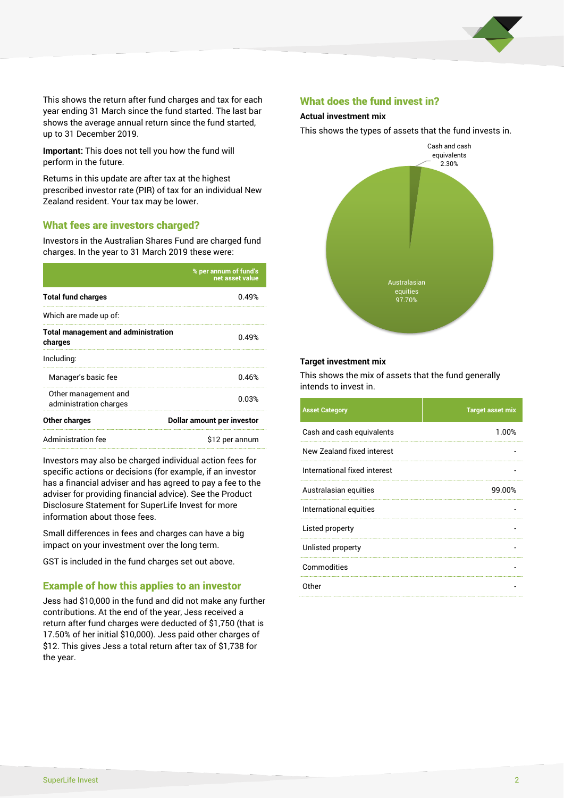

This shows the return after fund charges and tax for each year ending 31 March since the fund started. The last bar shows the average annual return since the fund started, up to 31 December 2019.

**Important:** This does not tell you how the fund will perform in the future.

Returns in this update are after tax at the highest prescribed investor rate (PIR) of tax for an individual New Zealand resident. Your tax may be lower.

#### What fees are investors charged?

Investors in the Australian Shares Fund are charged fund charges. In the year to 31 March 2019 these were:

|                                                       | % per annum of fund's<br>net asset value |  |
|-------------------------------------------------------|------------------------------------------|--|
| <b>Total fund charges</b>                             | 0.49%                                    |  |
| Which are made up of:                                 |                                          |  |
| <b>Total management and administration</b><br>charges | 0.49%                                    |  |
| Including:                                            |                                          |  |
| Manager's basic fee                                   | 0.46%                                    |  |
| Other management and<br>administration charges        | 0.03%                                    |  |
| Other charges                                         | Dollar amount per investor               |  |
| Administration fee                                    | \$12 per annum                           |  |

Investors may also be charged individual action fees for specific actions or decisions (for example, if an investor has a financial adviser and has agreed to pay a fee to the adviser for providing financial advice). See the Product Disclosure Statement for SuperLife Invest for more information about those fees.

Small differences in fees and charges can have a big impact on your investment over the long term.

GST is included in the fund charges set out above.

#### Example of how this applies to an investor

Jess had \$10,000 in the fund and did not make any further contributions. At the end of the year, Jess received a return after fund charges were deducted of \$1,750 (that is 17.50% of her initial \$10,000). Jess paid other charges of \$12. This gives Jess a total return after tax of \$1,738 for the year.

#### What does the fund invest in?

#### **Actual investment mix**

This shows the types of assets that the fund invests in.



#### **Target investment mix**

This shows the mix of assets that the fund generally intends to invest in.

| <b>Asset Category</b>        | <b>Target asset mix</b> |
|------------------------------|-------------------------|
| Cash and cash equivalents    | 1.00%                   |
| New Zealand fixed interest   |                         |
| International fixed interest |                         |
| Australasian equities        | 99.00%                  |
| International equities       |                         |
| Listed property              |                         |
| Unlisted property            |                         |
| Commodities                  |                         |
| Other                        |                         |